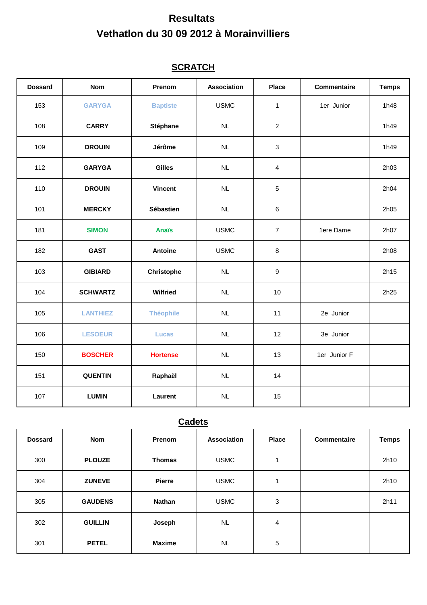# **Resultats Vethatlon du 30 09 2012 à Morainvilliers**

### **SCRATCH**

| <b>Dossard</b> | <b>Nom</b>      | Prenom            | <b>Association</b> | <b>Place</b>     | <b>Commentaire</b> | <b>Temps</b> |
|----------------|-----------------|-------------------|--------------------|------------------|--------------------|--------------|
| 153            | <b>GARYGA</b>   | <b>Baptiste</b>   | <b>USMC</b>        | $\mathbf{1}$     | 1er Junior         | 1h48         |
| 108            | <b>CARRY</b>    | Stéphane          | NL                 | $\overline{2}$   |                    | 1h49         |
| 109            | <b>DROUIN</b>   | Jérôme            | NL                 | $\mathbf{3}$     |                    | 1h49         |
| 112            | <b>GARYGA</b>   | <b>Gilles</b>     | NL                 | $\overline{4}$   |                    | 2h03         |
| 110            | <b>DROUIN</b>   | <b>Vincent</b>    | NL                 | $\sqrt{5}$       |                    | 2h04         |
| 101            | <b>MERCKY</b>   | Sébastien         | NL                 | $\,6\,$          |                    | 2h05         |
| 181            | <b>SIMON</b>    | <b>Anaïs</b>      | <b>USMC</b>        | $\overline{7}$   | 1ere Dame          | 2h07         |
| 182            | <b>GAST</b>     | Antoine           | <b>USMC</b>        | $\,8\,$          |                    | 2h08         |
| 103            | <b>GIBIARD</b>  | <b>Christophe</b> | NL                 | $\boldsymbol{9}$ |                    | 2h15         |
| 104            | <b>SCHWARTZ</b> | Wilfried          | NL                 | 10               |                    | 2h25         |
| 105            | <b>LANTHIEZ</b> | <b>Théophile</b>  | NL                 | 11               | 2e Junior          |              |
| 106            | <b>LESOEUR</b>  | <b>Lucas</b>      | NL                 | 12               | 3e Junior          |              |
| 150            | <b>BOSCHER</b>  | <b>Hortense</b>   | NL                 | 13               | 1er Junior F       |              |
| 151            | <b>QUENTIN</b>  | Raphaël           | NL                 | 14               |                    |              |
| 107            | <b>LUMIN</b>    | Laurent           | NL                 | 15               |                    |              |

## **Cadets**

| <b>Dossard</b> | <b>Nom</b>     | Prenom        | <b>Association</b> | <b>Place</b> | <b>Commentaire</b> | <b>Temps</b> |
|----------------|----------------|---------------|--------------------|--------------|--------------------|--------------|
| 300            | <b>PLOUZE</b>  | <b>Thomas</b> | <b>USMC</b>        | 1            |                    | 2h10         |
| 304            | <b>ZUNEVE</b>  | <b>Pierre</b> | <b>USMC</b>        |              |                    | 2h10         |
| 305            | <b>GAUDENS</b> | <b>Nathan</b> | <b>USMC</b>        | 3            |                    | 2h11         |
| 302            | <b>GUILLIN</b> | Joseph        | <b>NL</b>          | 4            |                    |              |
| 301            | <b>PETEL</b>   | <b>Maxime</b> | <b>NL</b>          | 5            |                    |              |